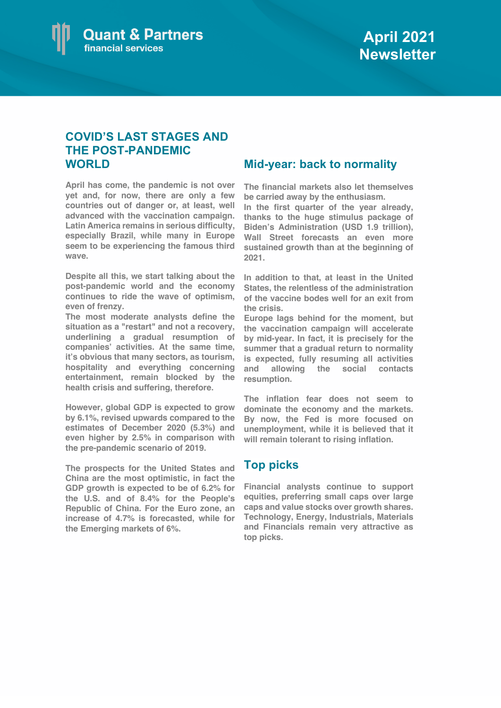

## **COVID'S LAST STAGES AND THE POST-PANDEMIC WORLD**

**April has come, the pandemic is not over yet and, for now, there are only a few countries out of danger or, at least, well advanced with the vaccination campaign. Latin America remains in serious difficulty, especially Brazil, while many in Europe seem to be experiencing the famous third wave.**

**Despite all this, we start talking about the post-pandemic world and the economy continues to ride the wave of optimism, even of frenzy.** 

**The most moderate analysts define the situation as a "restart" and not a recovery, underlining a gradual resumption of companies' activities. At the same time, it's obvious that many sectors, as tourism, hospitality and everything concerning entertainment, remain blocked by the health crisis and suffering, therefore.**

**However, global GDP is expected to grow by 6.1%, revised upwards compared to the estimates of December 2020 (5.3%) and even higher by 2.5% in comparison with the pre-pandemic scenario of 2019.** 

**The prospects for the United States and China are the most optimistic, in fact the GDP growth is expected to be of 6.2% for the U.S. and of 8.4% for the People's Republic of China. For the Euro zone, an increase of 4.7% is forecasted, while for the Emerging markets of 6%.**

## **Mid-year: back to normality**

**The financial markets also let themselves be carried away by the enthusiasm.**

**In the first quarter of the year already, thanks to the huge stimulus package of Biden's Administration (USD 1.9 trillion), Wall Street forecasts an even more sustained growth than at the beginning of 2021.**

**In addition to that, at least in the United States, the relentless of the administration of the vaccine bodes well for an exit from the crisis.**

**Europe lags behind for the moment, but the vaccination campaign will accelerate by mid-year. In fact, it is precisely for the summer that a gradual return to normality is expected, fully resuming all activities and allowing the social contacts resumption.**

**The inflation fear does not seem to dominate the economy and the markets. By now, the Fed is more focused on unemployment, while it is believed that it will remain tolerant to rising inflation.**

## **Top picks**

**Financial analysts continue to support equities, preferring small caps over large caps and value stocks over growth shares. Technology, Energy, Industrials, Materials and Financials remain very attractive as top picks.**